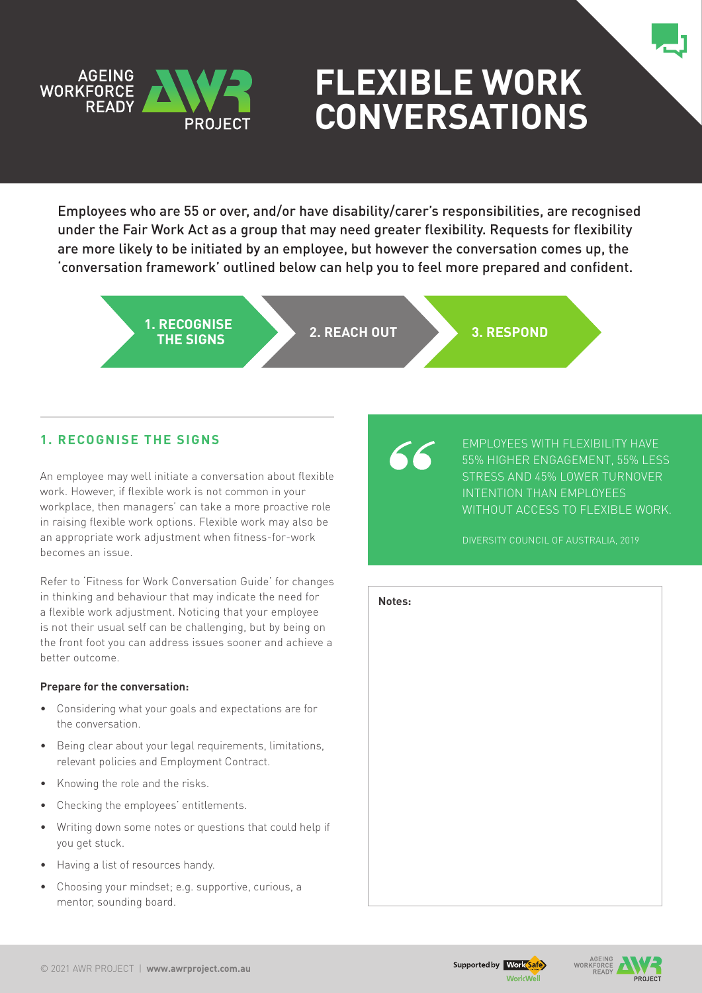

# **Flexible Work Conversations**

Employees who are 55 or over, and/or have disability/carer's responsibilities, are recognised under the Fair Work Act as a group that may need greater flexibility. Requests for flexibility are more likely to be initiated by an employee, but however the conversation comes up, the 'conversation framework' outlined below can help you to feel more prepared and confident.

> **1. RECOGNISE THE SIGNS 2. REACH OUT 3. RESPOND**

# **1. Recognise the signs**

An employee may well initiate a conversation about flexible work. However, if flexible work is not common in your workplace, then managers' can take a more proactive role in raising flexible work options. Flexible work may also be an appropriate work adjustment when fitness-for-work becomes an issue.

Refer to 'Fitness for Work Conversation Guide' for changes in thinking and behaviour that may indicate the need for a flexible work adjustment. Noticing that your employee is not their usual self can be challenging, but by being on the front foot you can address issues sooner and achieve a better outcome.

### **Prepare for the conversation:**

- • Considering what your goals and expectations are for the conversation.
- • Being clear about your legal requirements, limitations, relevant policies and Employment Contract.
- Knowing the role and the risks.
- Checking the employees' entitlements.
- Writing down some notes or questions that could help if you get stuck.
- Having a list of resources handy.
- Choosing your mindset: e.g. supportive, curious, a mentor, sounding board.

Employees with flexibility have 55% higher engagement, 55% less stress and 45% lower turnover intention than employees WITHOUT ACCESS TO FLEXIBLE WORK.

Diversity Council of Australia, 2019

| Notes: |  |  |
|--------|--|--|
|        |  |  |
|        |  |  |
|        |  |  |
|        |  |  |
|        |  |  |
|        |  |  |
|        |  |  |
|        |  |  |
|        |  |  |